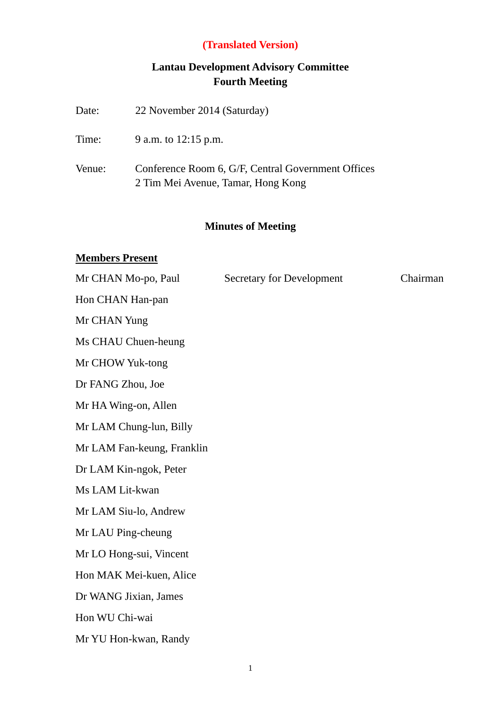# **Lantau Development Advisory Committee Fourth Meeting**

| <b>Minutes of Meeting</b><br><b>Members Present</b> |                                                                                          |  |  |
|-----------------------------------------------------|------------------------------------------------------------------------------------------|--|--|
| Venue:                                              | Conference Room 6, G/F, Central Government Offices<br>2 Tim Mei Avenue, Tamar, Hong Kong |  |  |
|                                                     |                                                                                          |  |  |
| Time:                                               | 9 a.m. to 12:15 p.m.                                                                     |  |  |
| Date:                                               | 22 November 2014 (Saturday)                                                              |  |  |

| Mr CHAN Mo-po, Paul        | <b>Secretary for Development</b> | Chairman |  |  |
|----------------------------|----------------------------------|----------|--|--|
| Hon CHAN Han-pan           |                                  |          |  |  |
| Mr CHAN Yung               |                                  |          |  |  |
| Ms CHAU Chuen-heung        |                                  |          |  |  |
| Mr CHOW Yuk-tong           |                                  |          |  |  |
| Dr FANG Zhou, Joe          |                                  |          |  |  |
| Mr HA Wing-on, Allen       |                                  |          |  |  |
| Mr LAM Chung-lun, Billy    |                                  |          |  |  |
| Mr LAM Fan-keung, Franklin |                                  |          |  |  |
| Dr LAM Kin-ngok, Peter     |                                  |          |  |  |
| Ms LAM Lit-kwan            |                                  |          |  |  |
| Mr LAM Siu-lo, Andrew      |                                  |          |  |  |
| Mr LAU Ping-cheung         |                                  |          |  |  |
| Mr LO Hong-sui, Vincent    |                                  |          |  |  |
| Hon MAK Mei-kuen, Alice    |                                  |          |  |  |
| Dr WANG Jixian, James      |                                  |          |  |  |
| Hon WU Chi-wai             |                                  |          |  |  |
| Mr YU Hon-kwan, Randy      |                                  |          |  |  |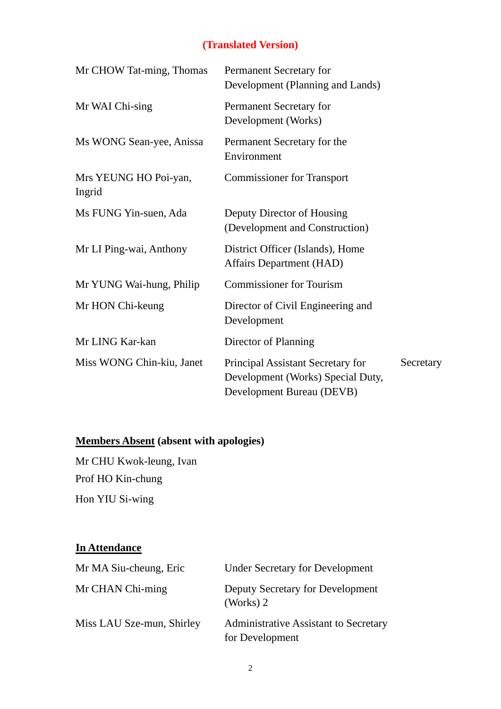| Mr CHOW Tat-ming, Thomas        | Permanent Secretary for<br>Development (Planning and Lands)                                         |           |
|---------------------------------|-----------------------------------------------------------------------------------------------------|-----------|
| Mr WAI Chi-sing                 | Permanent Secretary for<br>Development (Works)                                                      |           |
| Ms WONG Sean-yee, Anissa        | Permanent Secretary for the<br>Environment                                                          |           |
| Mrs YEUNG HO Poi-yan,<br>Ingrid | <b>Commissioner for Transport</b>                                                                   |           |
| Ms FUNG Yin-suen, Ada           | Deputy Director of Housing<br>(Development and Construction)                                        |           |
| Mr LI Ping-wai, Anthony         | District Officer (Islands), Home<br><b>Affairs Department (HAD)</b>                                 |           |
| Mr YUNG Wai-hung, Philip        | <b>Commissioner for Tourism</b>                                                                     |           |
| Mr HON Chi-keung                | Director of Civil Engineering and<br>Development                                                    |           |
| Mr LING Kar-kan                 | Director of Planning                                                                                |           |
| Miss WONG Chin-kiu, Janet       | Principal Assistant Secretary for<br>Development (Works) Special Duty,<br>Development Bureau (DEVB) | Secretary |

# **Members Absent (absent with apologies)**

Mr CHU Kwok-leung, Ivan Prof HO Kin-chung Hon YIU Si-wing

## **In Attendance**

| Mr MA Siu-cheung, Eric    | <b>Under Secretary for Development</b>                   |
|---------------------------|----------------------------------------------------------|
| Mr CHAN Chi-ming          | Deputy Secretary for Development<br>(Works) $2$          |
| Miss LAU Sze-mun, Shirley | Administrative Assistant to Secretary<br>for Development |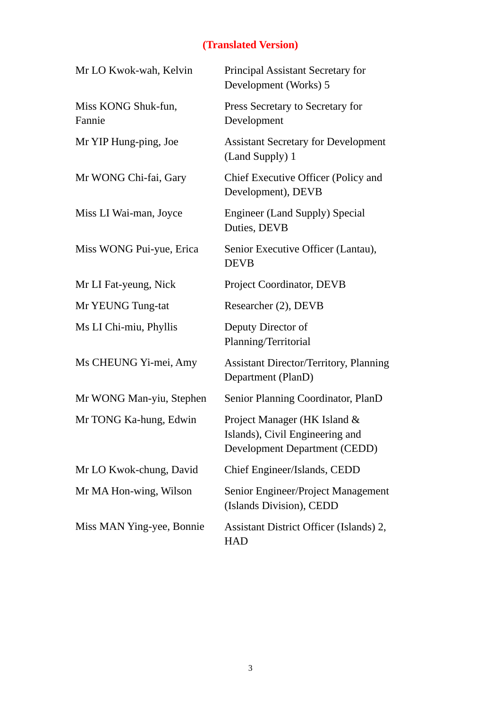| Mr LO Kwok-wah, Kelvin        | Principal Assistant Secretary for<br>Development (Works) 5                                              |
|-------------------------------|---------------------------------------------------------------------------------------------------------|
| Miss KONG Shuk-fun,<br>Fannie | Press Secretary to Secretary for<br>Development                                                         |
| Mr YIP Hung-ping, Joe         | <b>Assistant Secretary for Development</b><br>(Land Supply) 1                                           |
| Mr WONG Chi-fai, Gary         | Chief Executive Officer (Policy and<br>Development), DEVB                                               |
| Miss LI Wai-man, Joyce        | <b>Engineer (Land Supply) Special</b><br>Duties, DEVB                                                   |
| Miss WONG Pui-yue, Erica      | Senior Executive Officer (Lantau),<br><b>DEVB</b>                                                       |
| Mr LI Fat-yeung, Nick         | Project Coordinator, DEVB                                                                               |
| Mr YEUNG Tung-tat             | Researcher (2), DEVB                                                                                    |
| Ms LI Chi-miu, Phyllis        | Deputy Director of<br>Planning/Territorial                                                              |
| Ms CHEUNG Yi-mei, Amy         | <b>Assistant Director/Territory, Planning</b><br>Department (PlanD)                                     |
| Mr WONG Man-yiu, Stephen      | Senior Planning Coordinator, PlanD                                                                      |
| Mr TONG Ka-hung, Edwin        | Project Manager (HK Island &<br>Islands), Civil Engineering and<br><b>Development Department (CEDD)</b> |
| Mr LO Kwok-chung, David       | Chief Engineer/Islands, CEDD                                                                            |
| Mr MA Hon-wing, Wilson        | Senior Engineer/Project Management<br>(Islands Division), CEDD                                          |
| Miss MAN Ying-yee, Bonnie     | Assistant District Officer (Islands) 2,<br><b>HAD</b>                                                   |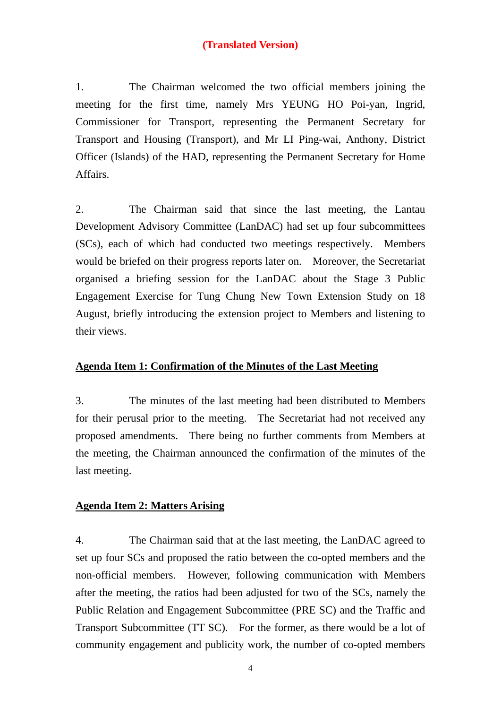1. The Chairman welcomed the two official members joining the meeting for the first time, namely Mrs YEUNG HO Poi-yan, Ingrid, Commissioner for Transport, representing the Permanent Secretary for Transport and Housing (Transport), and Mr LI Ping-wai, Anthony, District Officer (Islands) of the HAD, representing the Permanent Secretary for Home Affairs.

2. The Chairman said that since the last meeting, the Lantau Development Advisory Committee (LanDAC) had set up four subcommittees (SCs), each of which had conducted two meetings respectively. Members would be briefed on their progress reports later on. Moreover, the Secretariat organised a briefing session for the LanDAC about the Stage 3 Public Engagement Exercise for Tung Chung New Town Extension Study on 18 August, briefly introducing the extension project to Members and listening to their views.

#### **Agenda Item 1: Confirmation of the Minutes of the Last Meeting**

3. The minutes of the last meeting had been distributed to Members for their perusal prior to the meeting. The Secretariat had not received any proposed amendments. There being no further comments from Members at the meeting, the Chairman announced the confirmation of the minutes of the last meeting.

#### **Agenda Item 2: Matters Arising**

4. The Chairman said that at the last meeting, the LanDAC agreed to set up four SCs and proposed the ratio between the co-opted members and the non-official members. However, following communication with Members after the meeting, the ratios had been adjusted for two of the SCs, namely the Public Relation and Engagement Subcommittee (PRE SC) and the Traffic and Transport Subcommittee (TT SC). For the former, as there would be a lot of community engagement and publicity work, the number of co-opted members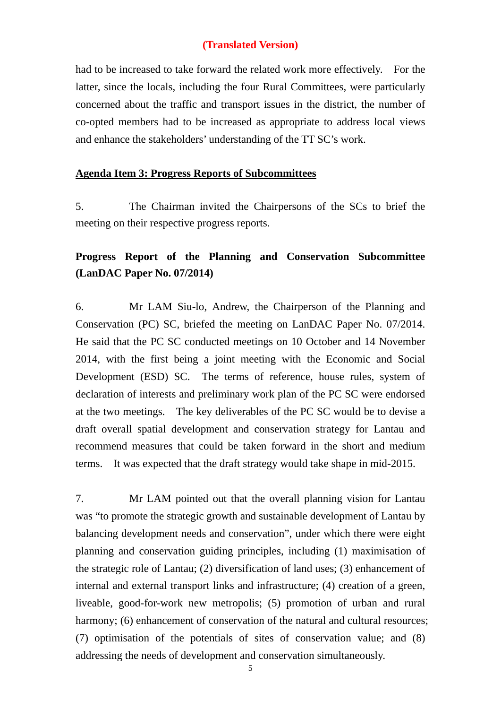had to be increased to take forward the related work more effectively. For the latter, since the locals, including the four Rural Committees, were particularly concerned about the traffic and transport issues in the district, the number of co-opted members had to be increased as appropriate to address local views and enhance the stakeholders' understanding of the TT SC's work.

#### **Agenda Item 3: Progress Reports of Subcommittees**

5. The Chairman invited the Chairpersons of the SCs to brief the meeting on their respective progress reports.

## **Progress Report of the Planning and Conservation Subcommittee (LanDAC Paper No. 07/2014)**

6. Mr LAM Siu-lo, Andrew, the Chairperson of the Planning and Conservation (PC) SC, briefed the meeting on LanDAC Paper No. 07/2014. He said that the PC SC conducted meetings on 10 October and 14 November 2014, with the first being a joint meeting with the Economic and Social Development (ESD) SC. The terms of reference, house rules, system of declaration of interests and preliminary work plan of the PC SC were endorsed at the two meetings. The key deliverables of the PC SC would be to devise a draft overall spatial development and conservation strategy for Lantau and recommend measures that could be taken forward in the short and medium terms. It was expected that the draft strategy would take shape in mid-2015.

7. Mr LAM pointed out that the overall planning vision for Lantau was "to promote the strategic growth and sustainable development of Lantau by balancing development needs and conservation", under which there were eight planning and conservation guiding principles, including (1) maximisation of the strategic role of Lantau; (2) diversification of land uses; (3) enhancement of internal and external transport links and infrastructure; (4) creation of a green, liveable, good-for-work new metropolis; (5) promotion of urban and rural harmony; (6) enhancement of conservation of the natural and cultural resources; (7) optimisation of the potentials of sites of conservation value; and (8) addressing the needs of development and conservation simultaneously.

5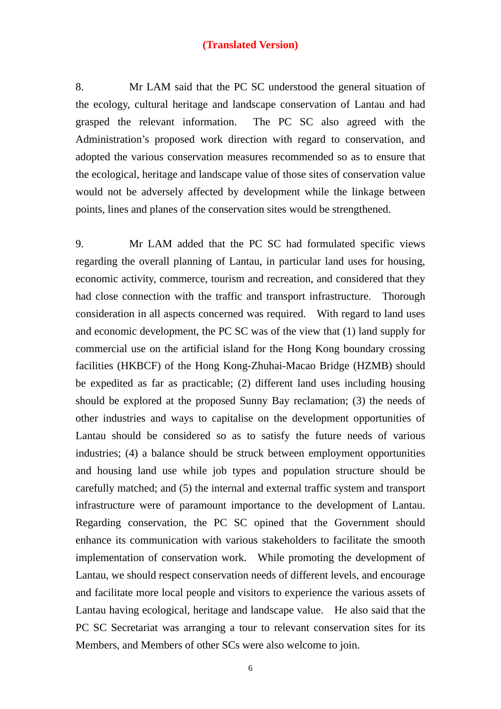8. Mr LAM said that the PC SC understood the general situation of the ecology, cultural heritage and landscape conservation of Lantau and had grasped the relevant information. The PC SC also agreed with the Administration's proposed work direction with regard to conservation, and adopted the various conservation measures recommended so as to ensure that the ecological, heritage and landscape value of those sites of conservation value would not be adversely affected by development while the linkage between points, lines and planes of the conservation sites would be strengthened.

9. Mr LAM added that the PC SC had formulated specific views regarding the overall planning of Lantau, in particular land uses for housing, economic activity, commerce, tourism and recreation, and considered that they had close connection with the traffic and transport infrastructure. Thorough consideration in all aspects concerned was required. With regard to land uses and economic development, the PC SC was of the view that (1) land supply for commercial use on the artificial island for the Hong Kong boundary crossing facilities (HKBCF) of the Hong Kong-Zhuhai-Macao Bridge (HZMB) should be expedited as far as practicable; (2) different land uses including housing should be explored at the proposed Sunny Bay reclamation; (3) the needs of other industries and ways to capitalise on the development opportunities of Lantau should be considered so as to satisfy the future needs of various industries; (4) a balance should be struck between employment opportunities and housing land use while job types and population structure should be carefully matched; and (5) the internal and external traffic system and transport infrastructure were of paramount importance to the development of Lantau. Regarding conservation, the PC SC opined that the Government should enhance its communication with various stakeholders to facilitate the smooth implementation of conservation work. While promoting the development of Lantau, we should respect conservation needs of different levels, and encourage and facilitate more local people and visitors to experience the various assets of Lantau having ecological, heritage and landscape value. He also said that the PC SC Secretariat was arranging a tour to relevant conservation sites for its Members, and Members of other SCs were also welcome to join.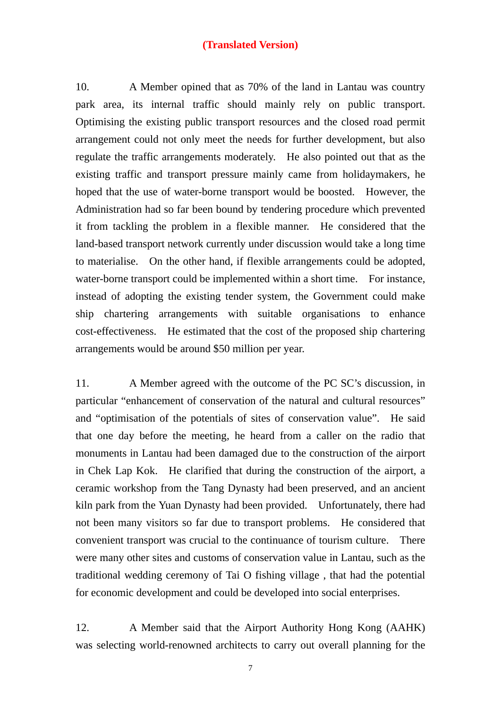10. A Member opined that as 70% of the land in Lantau was country park area, its internal traffic should mainly rely on public transport. Optimising the existing public transport resources and the closed road permit arrangement could not only meet the needs for further development, but also regulate the traffic arrangements moderately. He also pointed out that as the existing traffic and transport pressure mainly came from holidaymakers, he hoped that the use of water-borne transport would be boosted. However, the Administration had so far been bound by tendering procedure which prevented it from tackling the problem in a flexible manner. He considered that the land-based transport network currently under discussion would take a long time to materialise. On the other hand, if flexible arrangements could be adopted, water-borne transport could be implemented within a short time. For instance, instead of adopting the existing tender system, the Government could make ship chartering arrangements with suitable organisations to enhance cost-effectiveness. He estimated that the cost of the proposed ship chartering arrangements would be around \$50 million per year.

11. A Member agreed with the outcome of the PC SC's discussion, in particular "enhancement of conservation of the natural and cultural resources" and "optimisation of the potentials of sites of conservation value". He said that one day before the meeting, he heard from a caller on the radio that monuments in Lantau had been damaged due to the construction of the airport in Chek Lap Kok. He clarified that during the construction of the airport, a ceramic workshop from the Tang Dynasty had been preserved, and an ancient kiln park from the Yuan Dynasty had been provided. Unfortunately, there had not been many visitors so far due to transport problems. He considered that convenient transport was crucial to the continuance of tourism culture. There were many other sites and customs of conservation value in Lantau, such as the traditional wedding ceremony of Tai O fishing village , that had the potential for economic development and could be developed into social enterprises.

12. A Member said that the Airport Authority Hong Kong (AAHK) was selecting world-renowned architects to carry out overall planning for the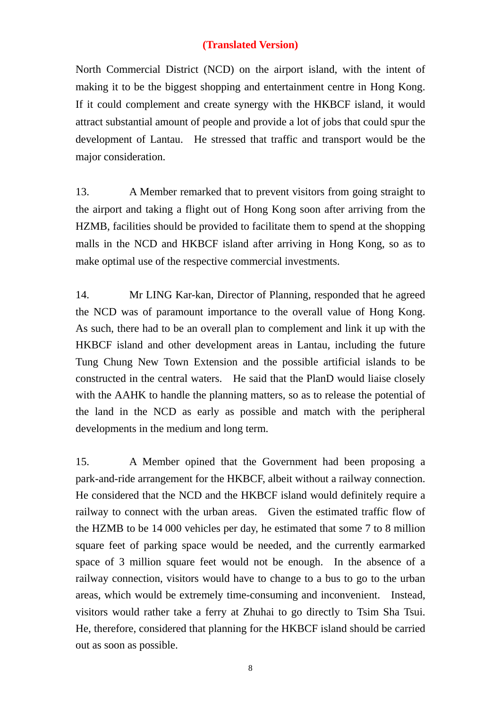North Commercial District (NCD) on the airport island, with the intent of making it to be the biggest shopping and entertainment centre in Hong Kong. If it could complement and create synergy with the HKBCF island, it would attract substantial amount of people and provide a lot of jobs that could spur the development of Lantau. He stressed that traffic and transport would be the major consideration.

13. A Member remarked that to prevent visitors from going straight to the airport and taking a flight out of Hong Kong soon after arriving from the HZMB, facilities should be provided to facilitate them to spend at the shopping malls in the NCD and HKBCF island after arriving in Hong Kong, so as to make optimal use of the respective commercial investments.

14. Mr LING Kar-kan, Director of Planning, responded that he agreed the NCD was of paramount importance to the overall value of Hong Kong. As such, there had to be an overall plan to complement and link it up with the HKBCF island and other development areas in Lantau, including the future Tung Chung New Town Extension and the possible artificial islands to be constructed in the central waters. He said that the PlanD would liaise closely with the AAHK to handle the planning matters, so as to release the potential of the land in the NCD as early as possible and match with the peripheral developments in the medium and long term.

15. A Member opined that the Government had been proposing a park-and-ride arrangement for the HKBCF, albeit without a railway connection. He considered that the NCD and the HKBCF island would definitely require a railway to connect with the urban areas. Given the estimated traffic flow of the HZMB to be 14 000 vehicles per day, he estimated that some 7 to 8 million square feet of parking space would be needed, and the currently earmarked space of 3 million square feet would not be enough. In the absence of a railway connection, visitors would have to change to a bus to go to the urban areas, which would be extremely time-consuming and inconvenient. Instead, visitors would rather take a ferry at Zhuhai to go directly to Tsim Sha Tsui. He, therefore, considered that planning for the HKBCF island should be carried out as soon as possible.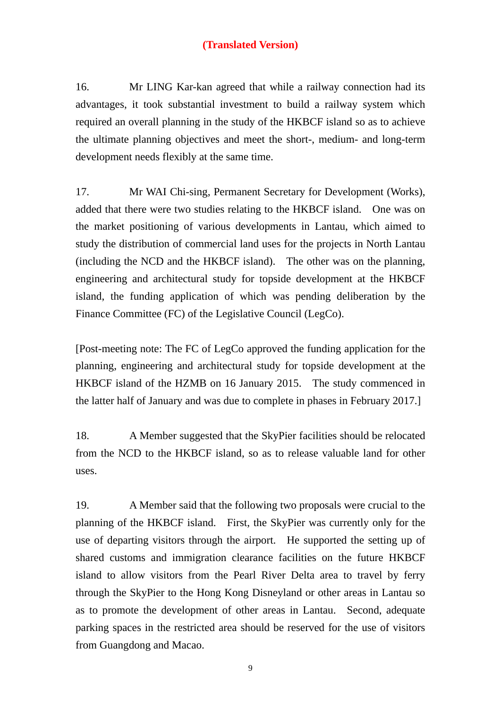16. Mr LING Kar-kan agreed that while a railway connection had its advantages, it took substantial investment to build a railway system which required an overall planning in the study of the HKBCF island so as to achieve the ultimate planning objectives and meet the short-, medium- and long-term development needs flexibly at the same time.

17. Mr WAI Chi-sing, Permanent Secretary for Development (Works), added that there were two studies relating to the HKBCF island. One was on the market positioning of various developments in Lantau, which aimed to study the distribution of commercial land uses for the projects in North Lantau (including the NCD and the HKBCF island). The other was on the planning, engineering and architectural study for topside development at the HKBCF island, the funding application of which was pending deliberation by the Finance Committee (FC) of the Legislative Council (LegCo).

[Post-meeting note: The FC of LegCo approved the funding application for the planning, engineering and architectural study for topside development at the HKBCF island of the HZMB on 16 January 2015. The study commenced in the latter half of January and was due to complete in phases in February 2017.]

18. A Member suggested that the SkyPier facilities should be relocated from the NCD to the HKBCF island, so as to release valuable land for other uses.

19. A Member said that the following two proposals were crucial to the planning of the HKBCF island. First, the SkyPier was currently only for the use of departing visitors through the airport. He supported the setting up of shared customs and immigration clearance facilities on the future HKBCF island to allow visitors from the Pearl River Delta area to travel by ferry through the SkyPier to the Hong Kong Disneyland or other areas in Lantau so as to promote the development of other areas in Lantau. Second, adequate parking spaces in the restricted area should be reserved for the use of visitors from Guangdong and Macao.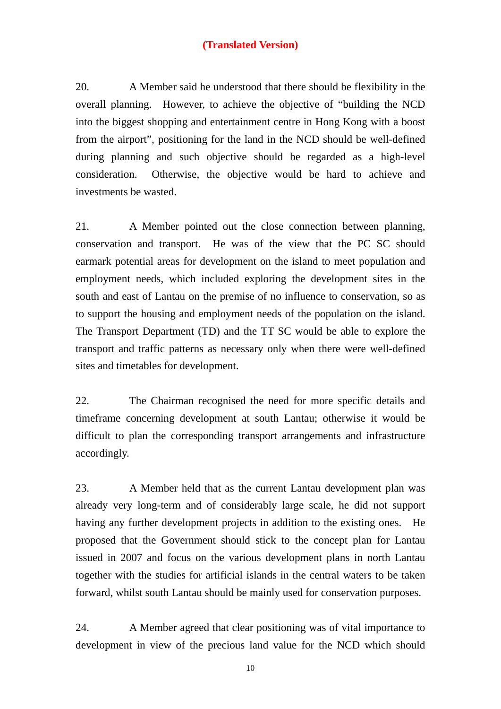20. A Member said he understood that there should be flexibility in the overall planning. However, to achieve the objective of "building the NCD into the biggest shopping and entertainment centre in Hong Kong with a boost from the airport", positioning for the land in the NCD should be well-defined during planning and such objective should be regarded as a high-level consideration. Otherwise, the objective would be hard to achieve and investments be wasted.

21. A Member pointed out the close connection between planning, conservation and transport. He was of the view that the PC SC should earmark potential areas for development on the island to meet population and employment needs, which included exploring the development sites in the south and east of Lantau on the premise of no influence to conservation, so as to support the housing and employment needs of the population on the island. The Transport Department (TD) and the TT SC would be able to explore the transport and traffic patterns as necessary only when there were well-defined sites and timetables for development.

22. The Chairman recognised the need for more specific details and timeframe concerning development at south Lantau; otherwise it would be difficult to plan the corresponding transport arrangements and infrastructure accordingly.

23. A Member held that as the current Lantau development plan was already very long-term and of considerably large scale, he did not support having any further development projects in addition to the existing ones. He proposed that the Government should stick to the concept plan for Lantau issued in 2007 and focus on the various development plans in north Lantau together with the studies for artificial islands in the central waters to be taken forward, whilst south Lantau should be mainly used for conservation purposes.

24. A Member agreed that clear positioning was of vital importance to development in view of the precious land value for the NCD which should

10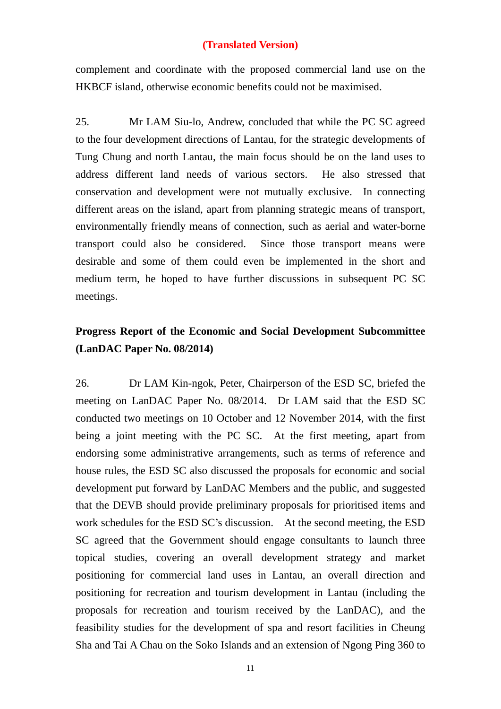complement and coordinate with the proposed commercial land use on the HKBCF island, otherwise economic benefits could not be maximised.

25. Mr LAM Siu-lo, Andrew, concluded that while the PC SC agreed to the four development directions of Lantau, for the strategic developments of Tung Chung and north Lantau, the main focus should be on the land uses to address different land needs of various sectors. He also stressed that conservation and development were not mutually exclusive. In connecting different areas on the island, apart from planning strategic means of transport, environmentally friendly means of connection, such as aerial and water-borne transport could also be considered. Since those transport means were desirable and some of them could even be implemented in the short and medium term, he hoped to have further discussions in subsequent PC SC meetings.

## **Progress Report of the Economic and Social Development Subcommittee (LanDAC Paper No. 08/2014)**

26. Dr LAM Kin-ngok, Peter, Chairperson of the ESD SC, briefed the meeting on LanDAC Paper No. 08/2014. Dr LAM said that the ESD SC conducted two meetings on 10 October and 12 November 2014, with the first being a joint meeting with the PC SC. At the first meeting, apart from endorsing some administrative arrangements, such as terms of reference and house rules, the ESD SC also discussed the proposals for economic and social development put forward by LanDAC Members and the public, and suggested that the DEVB should provide preliminary proposals for prioritised items and work schedules for the ESD SC's discussion. At the second meeting, the ESD SC agreed that the Government should engage consultants to launch three topical studies, covering an overall development strategy and market positioning for commercial land uses in Lantau, an overall direction and positioning for recreation and tourism development in Lantau (including the proposals for recreation and tourism received by the LanDAC), and the feasibility studies for the development of spa and resort facilities in Cheung Sha and Tai A Chau on the Soko Islands and an extension of Ngong Ping 360 to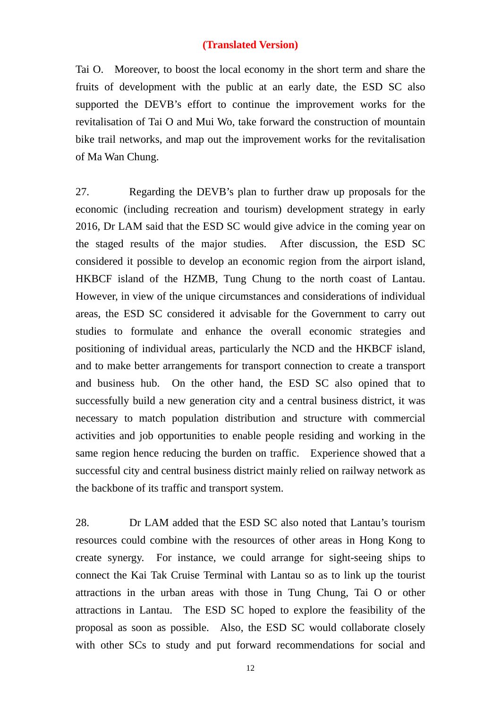Tai O. Moreover, to boost the local economy in the short term and share the fruits of development with the public at an early date, the ESD SC also supported the DEVB's effort to continue the improvement works for the revitalisation of Tai O and Mui Wo, take forward the construction of mountain bike trail networks, and map out the improvement works for the revitalisation of Ma Wan Chung.

27. Regarding the DEVB's plan to further draw up proposals for the economic (including recreation and tourism) development strategy in early 2016, Dr LAM said that the ESD SC would give advice in the coming year on the staged results of the major studies. After discussion, the ESD SC considered it possible to develop an economic region from the airport island, HKBCF island of the HZMB, Tung Chung to the north coast of Lantau. However, in view of the unique circumstances and considerations of individual areas, the ESD SC considered it advisable for the Government to carry out studies to formulate and enhance the overall economic strategies and positioning of individual areas, particularly the NCD and the HKBCF island, and to make better arrangements for transport connection to create a transport and business hub. On the other hand, the ESD SC also opined that to successfully build a new generation city and a central business district, it was necessary to match population distribution and structure with commercial activities and job opportunities to enable people residing and working in the same region hence reducing the burden on traffic. Experience showed that a successful city and central business district mainly relied on railway network as the backbone of its traffic and transport system.

28. Dr LAM added that the ESD SC also noted that Lantau's tourism resources could combine with the resources of other areas in Hong Kong to create synergy. For instance, we could arrange for sight-seeing ships to connect the Kai Tak Cruise Terminal with Lantau so as to link up the tourist attractions in the urban areas with those in Tung Chung, Tai O or other attractions in Lantau. The ESD SC hoped to explore the feasibility of the proposal as soon as possible. Also, the ESD SC would collaborate closely with other SCs to study and put forward recommendations for social and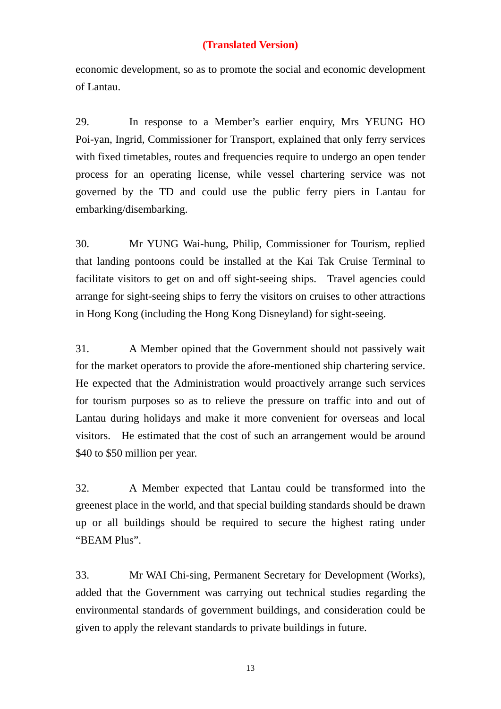economic development, so as to promote the social and economic development of Lantau.

29. In response to a Member's earlier enquiry, Mrs YEUNG HO Poi-yan, Ingrid, Commissioner for Transport, explained that only ferry services with fixed timetables, routes and frequencies require to undergo an open tender process for an operating license, while vessel chartering service was not governed by the TD and could use the public ferry piers in Lantau for embarking/disembarking.

30. Mr YUNG Wai-hung, Philip, Commissioner for Tourism, replied that landing pontoons could be installed at the Kai Tak Cruise Terminal to facilitate visitors to get on and off sight-seeing ships. Travel agencies could arrange for sight-seeing ships to ferry the visitors on cruises to other attractions in Hong Kong (including the Hong Kong Disneyland) for sight-seeing.

31. A Member opined that the Government should not passively wait for the market operators to provide the afore-mentioned ship chartering service. He expected that the Administration would proactively arrange such services for tourism purposes so as to relieve the pressure on traffic into and out of Lantau during holidays and make it more convenient for overseas and local visitors. He estimated that the cost of such an arrangement would be around \$40 to \$50 million per year.

32. A Member expected that Lantau could be transformed into the greenest place in the world, and that special building standards should be drawn up or all buildings should be required to secure the highest rating under "BEAM Plus".

33. Mr WAI Chi-sing, Permanent Secretary for Development (Works), added that the Government was carrying out technical studies regarding the environmental standards of government buildings, and consideration could be given to apply the relevant standards to private buildings in future.

13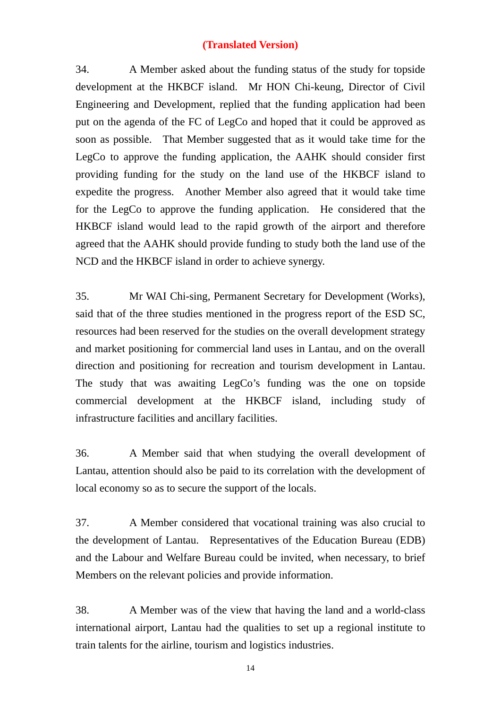34. A Member asked about the funding status of the study for topside development at the HKBCF island. Mr HON Chi-keung, Director of Civil Engineering and Development, replied that the funding application had been put on the agenda of the FC of LegCo and hoped that it could be approved as soon as possible. That Member suggested that as it would take time for the LegCo to approve the funding application, the AAHK should consider first providing funding for the study on the land use of the HKBCF island to expedite the progress. Another Member also agreed that it would take time for the LegCo to approve the funding application. He considered that the HKBCF island would lead to the rapid growth of the airport and therefore agreed that the AAHK should provide funding to study both the land use of the NCD and the HKBCF island in order to achieve synergy.

35. Mr WAI Chi-sing, Permanent Secretary for Development (Works), said that of the three studies mentioned in the progress report of the ESD SC, resources had been reserved for the studies on the overall development strategy and market positioning for commercial land uses in Lantau, and on the overall direction and positioning for recreation and tourism development in Lantau. The study that was awaiting LegCo's funding was the one on topside commercial development at the HKBCF island, including study of infrastructure facilities and ancillary facilities.

36. A Member said that when studying the overall development of Lantau, attention should also be paid to its correlation with the development of local economy so as to secure the support of the locals.

37. A Member considered that vocational training was also crucial to the development of Lantau. Representatives of the Education Bureau (EDB) and the Labour and Welfare Bureau could be invited, when necessary, to brief Members on the relevant policies and provide information.

38. A Member was of the view that having the land and a world-class international airport, Lantau had the qualities to set up a regional institute to train talents for the airline, tourism and logistics industries.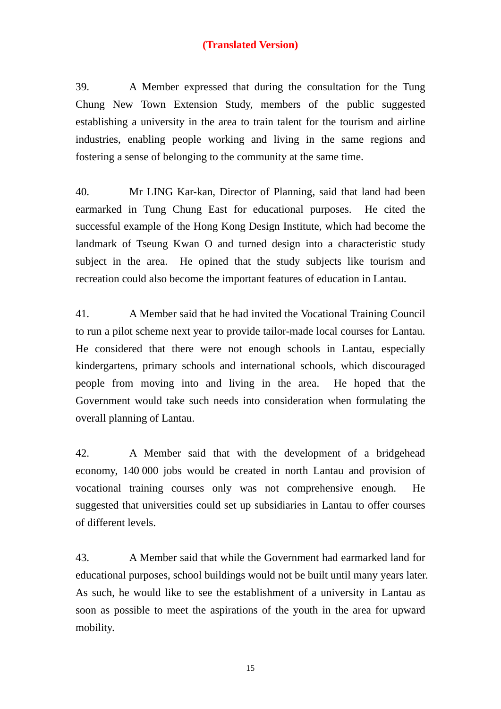39. A Member expressed that during the consultation for the Tung Chung New Town Extension Study, members of the public suggested establishing a university in the area to train talent for the tourism and airline industries, enabling people working and living in the same regions and fostering a sense of belonging to the community at the same time.

40. Mr LING Kar-kan, Director of Planning, said that land had been earmarked in Tung Chung East for educational purposes. He cited the successful example of the Hong Kong Design Institute, which had become the landmark of Tseung Kwan O and turned design into a characteristic study subject in the area. He opined that the study subjects like tourism and recreation could also become the important features of education in Lantau.

41. A Member said that he had invited the Vocational Training Council to run a pilot scheme next year to provide tailor-made local courses for Lantau. He considered that there were not enough schools in Lantau, especially kindergartens, primary schools and international schools, which discouraged people from moving into and living in the area. He hoped that the Government would take such needs into consideration when formulating the overall planning of Lantau.

42. A Member said that with the development of a bridgehead economy, 140 000 jobs would be created in north Lantau and provision of vocational training courses only was not comprehensive enough. He suggested that universities could set up subsidiaries in Lantau to offer courses of different levels.

43. A Member said that while the Government had earmarked land for educational purposes, school buildings would not be built until many years later. As such, he would like to see the establishment of a university in Lantau as soon as possible to meet the aspirations of the youth in the area for upward mobility.

15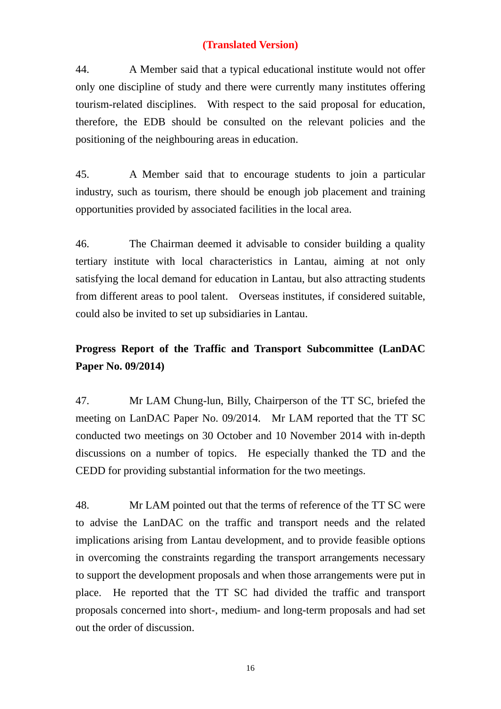44. A Member said that a typical educational institute would not offer only one discipline of study and there were currently many institutes offering tourism-related disciplines. With respect to the said proposal for education, therefore, the EDB should be consulted on the relevant policies and the positioning of the neighbouring areas in education.

45. A Member said that to encourage students to join a particular industry, such as tourism, there should be enough job placement and training opportunities provided by associated facilities in the local area.

46. The Chairman deemed it advisable to consider building a quality tertiary institute with local characteristics in Lantau, aiming at not only satisfying the local demand for education in Lantau, but also attracting students from different areas to pool talent. Overseas institutes, if considered suitable, could also be invited to set up subsidiaries in Lantau.

# **Progress Report of the Traffic and Transport Subcommittee (LanDAC Paper No. 09/2014)**

47. Mr LAM Chung-lun, Billy, Chairperson of the TT SC, briefed the meeting on LanDAC Paper No. 09/2014. Mr LAM reported that the TT SC conducted two meetings on 30 October and 10 November 2014 with in-depth discussions on a number of topics. He especially thanked the TD and the CEDD for providing substantial information for the two meetings.

48. Mr LAM pointed out that the terms of reference of the TT SC were to advise the LanDAC on the traffic and transport needs and the related implications arising from Lantau development, and to provide feasible options in overcoming the constraints regarding the transport arrangements necessary to support the development proposals and when those arrangements were put in place. He reported that the TT SC had divided the traffic and transport proposals concerned into short-, medium- and long-term proposals and had set out the order of discussion.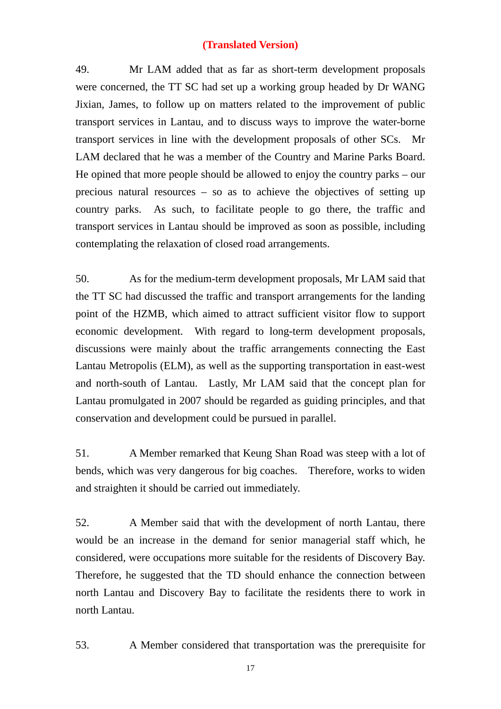49. Mr LAM added that as far as short-term development proposals were concerned, the TT SC had set up a working group headed by Dr WANG Jixian, James, to follow up on matters related to the improvement of public transport services in Lantau, and to discuss ways to improve the water-borne transport services in line with the development proposals of other SCs. Mr LAM declared that he was a member of the Country and Marine Parks Board. He opined that more people should be allowed to enjoy the country parks – our precious natural resources – so as to achieve the objectives of setting up country parks. As such, to facilitate people to go there, the traffic and transport services in Lantau should be improved as soon as possible, including contemplating the relaxation of closed road arrangements.

50. As for the medium-term development proposals, Mr LAM said that the TT SC had discussed the traffic and transport arrangements for the landing point of the HZMB, which aimed to attract sufficient visitor flow to support economic development. With regard to long-term development proposals, discussions were mainly about the traffic arrangements connecting the East Lantau Metropolis (ELM), as well as the supporting transportation in east-west and north-south of Lantau. Lastly, Mr LAM said that the concept plan for Lantau promulgated in 2007 should be regarded as guiding principles, and that conservation and development could be pursued in parallel.

51. A Member remarked that Keung Shan Road was steep with a lot of bends, which was very dangerous for big coaches. Therefore, works to widen and straighten it should be carried out immediately.

52. A Member said that with the development of north Lantau, there would be an increase in the demand for senior managerial staff which, he considered, were occupations more suitable for the residents of Discovery Bay. Therefore, he suggested that the TD should enhance the connection between north Lantau and Discovery Bay to facilitate the residents there to work in north Lantau.

53. A Member considered that transportation was the prerequisite for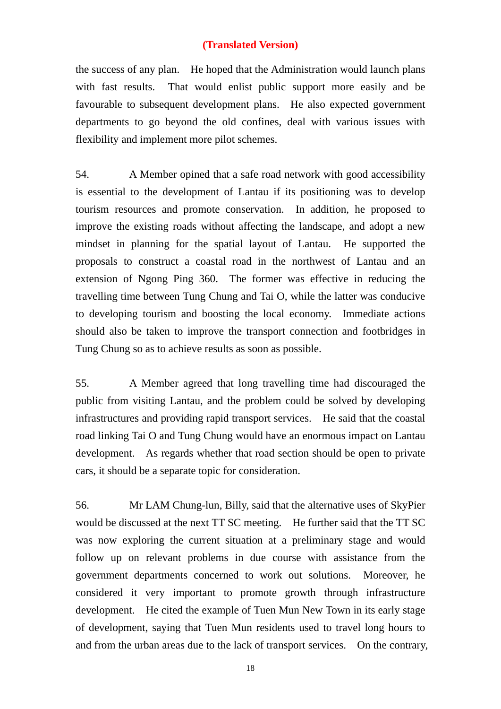the success of any plan. He hoped that the Administration would launch plans with fast results. That would enlist public support more easily and be favourable to subsequent development plans. He also expected government departments to go beyond the old confines, deal with various issues with flexibility and implement more pilot schemes.

54. A Member opined that a safe road network with good accessibility is essential to the development of Lantau if its positioning was to develop tourism resources and promote conservation. In addition, he proposed to improve the existing roads without affecting the landscape, and adopt a new mindset in planning for the spatial layout of Lantau. He supported the proposals to construct a coastal road in the northwest of Lantau and an extension of Ngong Ping 360. The former was effective in reducing the travelling time between Tung Chung and Tai O, while the latter was conducive to developing tourism and boosting the local economy. Immediate actions should also be taken to improve the transport connection and footbridges in Tung Chung so as to achieve results as soon as possible.

55. A Member agreed that long travelling time had discouraged the public from visiting Lantau, and the problem could be solved by developing infrastructures and providing rapid transport services. He said that the coastal road linking Tai O and Tung Chung would have an enormous impact on Lantau development. As regards whether that road section should be open to private cars, it should be a separate topic for consideration.

56. Mr LAM Chung-lun, Billy, said that the alternative uses of SkyPier would be discussed at the next TT SC meeting. He further said that the TT SC was now exploring the current situation at a preliminary stage and would follow up on relevant problems in due course with assistance from the government departments concerned to work out solutions. Moreover, he considered it very important to promote growth through infrastructure development. He cited the example of Tuen Mun New Town in its early stage of development, saying that Tuen Mun residents used to travel long hours to and from the urban areas due to the lack of transport services. On the contrary,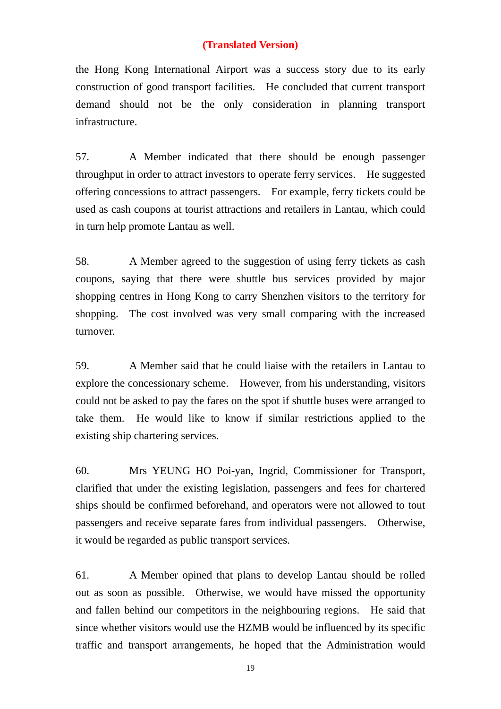the Hong Kong International Airport was a success story due to its early construction of good transport facilities. He concluded that current transport demand should not be the only consideration in planning transport infrastructure.

57. A Member indicated that there should be enough passenger throughput in order to attract investors to operate ferry services. He suggested offering concessions to attract passengers. For example, ferry tickets could be used as cash coupons at tourist attractions and retailers in Lantau, which could in turn help promote Lantau as well.

58. A Member agreed to the suggestion of using ferry tickets as cash coupons, saying that there were shuttle bus services provided by major shopping centres in Hong Kong to carry Shenzhen visitors to the territory for shopping. The cost involved was very small comparing with the increased turnover.

59. A Member said that he could liaise with the retailers in Lantau to explore the concessionary scheme. However, from his understanding, visitors could not be asked to pay the fares on the spot if shuttle buses were arranged to take them. He would like to know if similar restrictions applied to the existing ship chartering services.

60. Mrs YEUNG HO Poi-yan, Ingrid, Commissioner for Transport, clarified that under the existing legislation, passengers and fees for chartered ships should be confirmed beforehand, and operators were not allowed to tout passengers and receive separate fares from individual passengers. Otherwise, it would be regarded as public transport services.

61. A Member opined that plans to develop Lantau should be rolled out as soon as possible. Otherwise, we would have missed the opportunity and fallen behind our competitors in the neighbouring regions. He said that since whether visitors would use the HZMB would be influenced by its specific traffic and transport arrangements, he hoped that the Administration would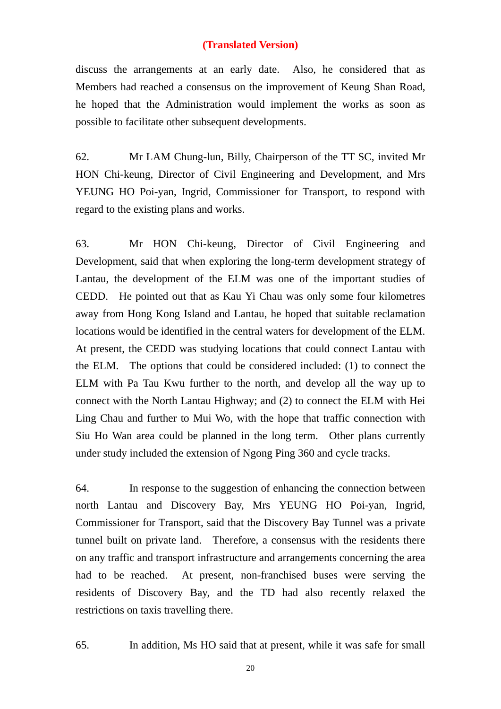discuss the arrangements at an early date. Also, he considered that as Members had reached a consensus on the improvement of Keung Shan Road, he hoped that the Administration would implement the works as soon as possible to facilitate other subsequent developments.

62. Mr LAM Chung-lun, Billy, Chairperson of the TT SC, invited Mr HON Chi-keung, Director of Civil Engineering and Development, and Mrs YEUNG HO Poi-yan, Ingrid, Commissioner for Transport, to respond with regard to the existing plans and works.

63. Mr HON Chi-keung, Director of Civil Engineering and Development, said that when exploring the long-term development strategy of Lantau, the development of the ELM was one of the important studies of CEDD. He pointed out that as Kau Yi Chau was only some four kilometres away from Hong Kong Island and Lantau, he hoped that suitable reclamation locations would be identified in the central waters for development of the ELM. At present, the CEDD was studying locations that could connect Lantau with the ELM. The options that could be considered included: (1) to connect the ELM with Pa Tau Kwu further to the north, and develop all the way up to connect with the North Lantau Highway; and (2) to connect the ELM with Hei Ling Chau and further to Mui Wo, with the hope that traffic connection with Siu Ho Wan area could be planned in the long term. Other plans currently under study included the extension of Ngong Ping 360 and cycle tracks.

64. In response to the suggestion of enhancing the connection between north Lantau and Discovery Bay, Mrs YEUNG HO Poi-yan, Ingrid, Commissioner for Transport, said that the Discovery Bay Tunnel was a private tunnel built on private land. Therefore, a consensus with the residents there on any traffic and transport infrastructure and arrangements concerning the area had to be reached. At present, non-franchised buses were serving the residents of Discovery Bay, and the TD had also recently relaxed the restrictions on taxis travelling there.

65. In addition, Ms HO said that at present, while it was safe for small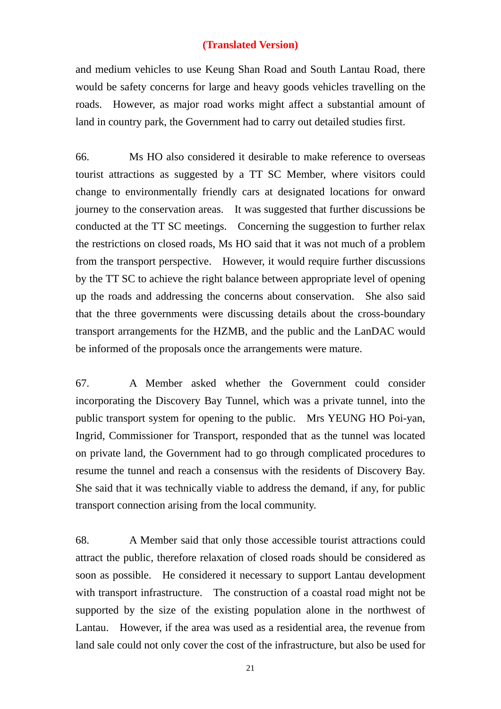and medium vehicles to use Keung Shan Road and South Lantau Road, there would be safety concerns for large and heavy goods vehicles travelling on the roads. However, as major road works might affect a substantial amount of land in country park, the Government had to carry out detailed studies first.

66. Ms HO also considered it desirable to make reference to overseas tourist attractions as suggested by a TT SC Member, where visitors could change to environmentally friendly cars at designated locations for onward journey to the conservation areas. It was suggested that further discussions be conducted at the TT SC meetings. Concerning the suggestion to further relax the restrictions on closed roads, Ms HO said that it was not much of a problem from the transport perspective. However, it would require further discussions by the TT SC to achieve the right balance between appropriate level of opening up the roads and addressing the concerns about conservation. She also said that the three governments were discussing details about the cross-boundary transport arrangements for the HZMB, and the public and the LanDAC would be informed of the proposals once the arrangements were mature.

67. A Member asked whether the Government could consider incorporating the Discovery Bay Tunnel, which was a private tunnel, into the public transport system for opening to the public. Mrs YEUNG HO Poi-yan, Ingrid, Commissioner for Transport, responded that as the tunnel was located on private land, the Government had to go through complicated procedures to resume the tunnel and reach a consensus with the residents of Discovery Bay. She said that it was technically viable to address the demand, if any, for public transport connection arising from the local community.

68. A Member said that only those accessible tourist attractions could attract the public, therefore relaxation of closed roads should be considered as soon as possible. He considered it necessary to support Lantau development with transport infrastructure. The construction of a coastal road might not be supported by the size of the existing population alone in the northwest of Lantau. However, if the area was used as a residential area, the revenue from land sale could not only cover the cost of the infrastructure, but also be used for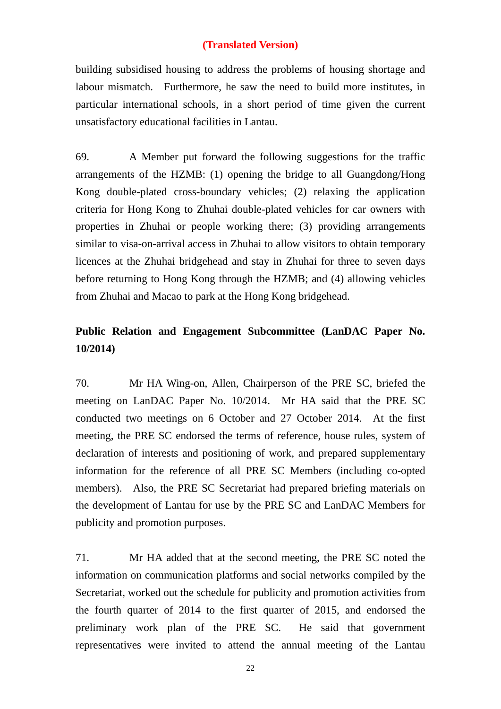building subsidised housing to address the problems of housing shortage and labour mismatch. Furthermore, he saw the need to build more institutes, in particular international schools, in a short period of time given the current unsatisfactory educational facilities in Lantau.

69. A Member put forward the following suggestions for the traffic arrangements of the HZMB: (1) opening the bridge to all Guangdong/Hong Kong double-plated cross-boundary vehicles; (2) relaxing the application criteria for Hong Kong to Zhuhai double-plated vehicles for car owners with properties in Zhuhai or people working there; (3) providing arrangements similar to visa-on-arrival access in Zhuhai to allow visitors to obtain temporary licences at the Zhuhai bridgehead and stay in Zhuhai for three to seven days before returning to Hong Kong through the HZMB; and (4) allowing vehicles from Zhuhai and Macao to park at the Hong Kong bridgehead.

## **Public Relation and Engagement Subcommittee (LanDAC Paper No. 10/2014)**

70. Mr HA Wing-on, Allen, Chairperson of the PRE SC, briefed the meeting on LanDAC Paper No. 10/2014. Mr HA said that the PRE SC conducted two meetings on 6 October and 27 October 2014. At the first meeting, the PRE SC endorsed the terms of reference, house rules, system of declaration of interests and positioning of work, and prepared supplementary information for the reference of all PRE SC Members (including co-opted members). Also, the PRE SC Secretariat had prepared briefing materials on the development of Lantau for use by the PRE SC and LanDAC Members for publicity and promotion purposes.

71. Mr HA added that at the second meeting, the PRE SC noted the information on communication platforms and social networks compiled by the Secretariat, worked out the schedule for publicity and promotion activities from the fourth quarter of 2014 to the first quarter of 2015, and endorsed the preliminary work plan of the PRE SC. He said that government representatives were invited to attend the annual meeting of the Lantau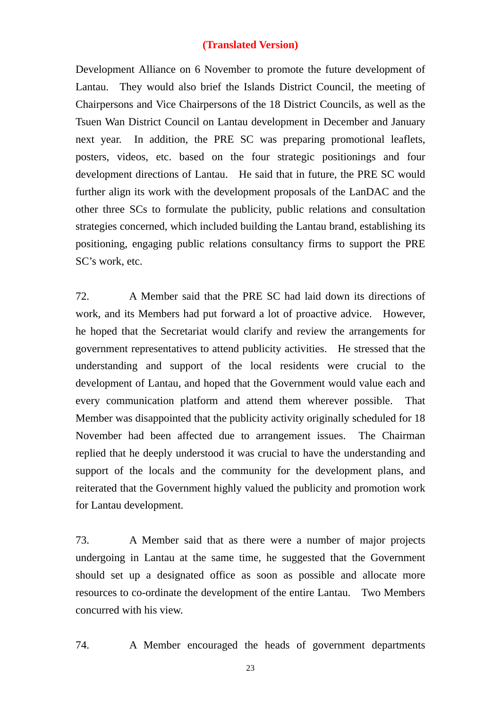Development Alliance on 6 November to promote the future development of Lantau. They would also brief the Islands District Council, the meeting of Chairpersons and Vice Chairpersons of the 18 District Councils, as well as the Tsuen Wan District Council on Lantau development in December and January next year. In addition, the PRE SC was preparing promotional leaflets, posters, videos, etc. based on the four strategic positionings and four development directions of Lantau. He said that in future, the PRE SC would further align its work with the development proposals of the LanDAC and the other three SCs to formulate the publicity, public relations and consultation strategies concerned, which included building the Lantau brand, establishing its positioning, engaging public relations consultancy firms to support the PRE SC's work, etc.

72. A Member said that the PRE SC had laid down its directions of work, and its Members had put forward a lot of proactive advice. However, he hoped that the Secretariat would clarify and review the arrangements for government representatives to attend publicity activities. He stressed that the understanding and support of the local residents were crucial to the development of Lantau, and hoped that the Government would value each and every communication platform and attend them wherever possible. That Member was disappointed that the publicity activity originally scheduled for 18 November had been affected due to arrangement issues. The Chairman replied that he deeply understood it was crucial to have the understanding and support of the locals and the community for the development plans, and reiterated that the Government highly valued the publicity and promotion work for Lantau development.

73. A Member said that as there were a number of major projects undergoing in Lantau at the same time, he suggested that the Government should set up a designated office as soon as possible and allocate more resources to co-ordinate the development of the entire Lantau. Two Members concurred with his view.

74. A Member encouraged the heads of government departments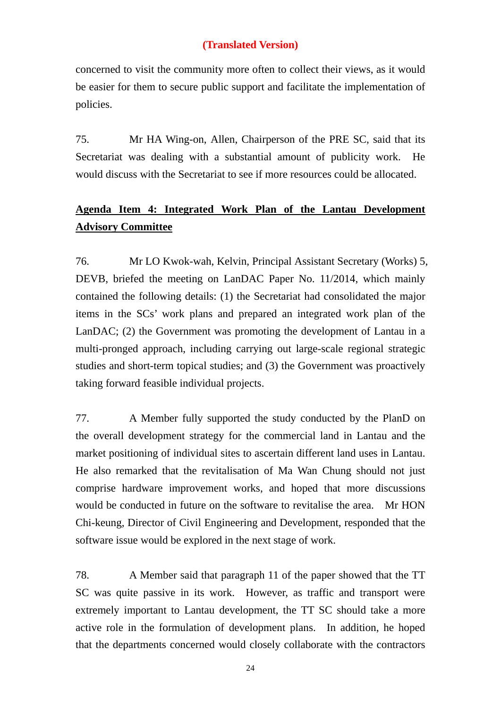concerned to visit the community more often to collect their views, as it would be easier for them to secure public support and facilitate the implementation of policies.

75. Mr HA Wing-on, Allen, Chairperson of the PRE SC, said that its Secretariat was dealing with a substantial amount of publicity work. He would discuss with the Secretariat to see if more resources could be allocated.

# **Agenda Item 4: Integrated Work Plan of the Lantau Development Advisory Committee**

76. Mr LO Kwok-wah, Kelvin, Principal Assistant Secretary (Works) 5, DEVB, briefed the meeting on LanDAC Paper No. 11/2014, which mainly contained the following details: (1) the Secretariat had consolidated the major items in the SCs' work plans and prepared an integrated work plan of the LanDAC; (2) the Government was promoting the development of Lantau in a multi-pronged approach, including carrying out large-scale regional strategic studies and short-term topical studies; and (3) the Government was proactively taking forward feasible individual projects.

77. A Member fully supported the study conducted by the PlanD on the overall development strategy for the commercial land in Lantau and the market positioning of individual sites to ascertain different land uses in Lantau. He also remarked that the revitalisation of Ma Wan Chung should not just comprise hardware improvement works, and hoped that more discussions would be conducted in future on the software to revitalise the area. Mr HON Chi-keung, Director of Civil Engineering and Development, responded that the software issue would be explored in the next stage of work.

78. A Member said that paragraph 11 of the paper showed that the TT SC was quite passive in its work. However, as traffic and transport were extremely important to Lantau development, the TT SC should take a more active role in the formulation of development plans. In addition, he hoped that the departments concerned would closely collaborate with the contractors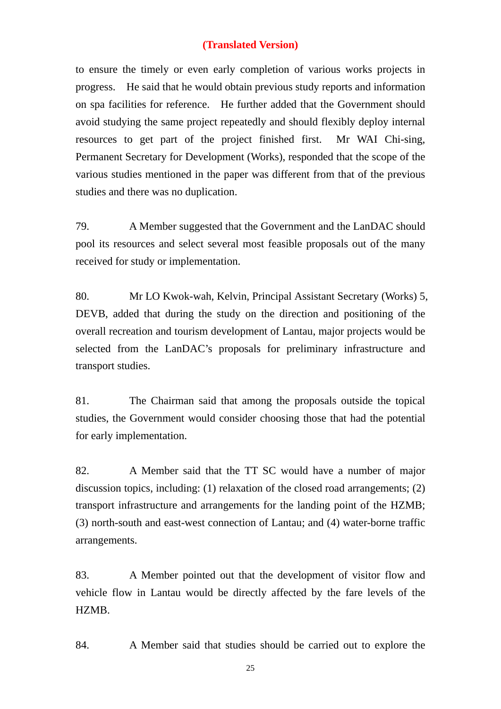to ensure the timely or even early completion of various works projects in progress. He said that he would obtain previous study reports and information on spa facilities for reference. He further added that the Government should avoid studying the same project repeatedly and should flexibly deploy internal resources to get part of the project finished first. Mr WAI Chi-sing, Permanent Secretary for Development (Works), responded that the scope of the various studies mentioned in the paper was different from that of the previous studies and there was no duplication.

79. A Member suggested that the Government and the LanDAC should pool its resources and select several most feasible proposals out of the many received for study or implementation.

80. Mr LO Kwok-wah, Kelvin, Principal Assistant Secretary (Works) 5, DEVB, added that during the study on the direction and positioning of the overall recreation and tourism development of Lantau, major projects would be selected from the LanDAC's proposals for preliminary infrastructure and transport studies.

81. The Chairman said that among the proposals outside the topical studies, the Government would consider choosing those that had the potential for early implementation.

82. A Member said that the TT SC would have a number of major discussion topics, including: (1) relaxation of the closed road arrangements; (2) transport infrastructure and arrangements for the landing point of the HZMB; (3) north-south and east-west connection of Lantau; and (4) water-borne traffic arrangements.

83. A Member pointed out that the development of visitor flow and vehicle flow in Lantau would be directly affected by the fare levels of the HZMB.

84. A Member said that studies should be carried out to explore the